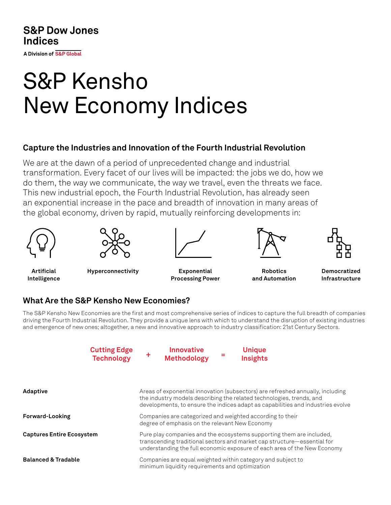**S&P Dow Jones Indices** 

A Division of S&P Global

# S&P Kensho New Economy Indices

#### **Capture the Industries and Innovation of the Fourth Industrial Revolution**

We are at the dawn of a period of unprecedented change and industrial transformation. Every facet of our lives will be impacted: the jobs we do, how we do them, the way we communicate, the way we travel, even the threats we face. This new industrial epoch, the Fourth Industrial Revolution, has already seen an exponential increase in the pace and breadth of innovation in many areas of the global economy, driven by rapid, mutually reinforcing developments in:





**Artificial Intelligence**



**Hyperconnectivity Exponential Processing Power**



**Robotics and Automation**



**Democratized Infrastructure**

## **What Are the S&P Kensho New Economies?**

The S&P Kensho New Economies are the first and most comprehensive series of indices to capture the full breadth of companies driving the Fourth Industrial Revolution. They provide a unique lens with which to understand the disruption of existing industries and emergence of new ones; altogether, a new and innovative approach to industry classification: 21st Century Sectors.



| <b>Adaptive</b>                  | Areas of exponential innovation (subsectors) are refreshed annually, including<br>the industry models describing the related technologies, trends, and<br>developments, to ensure the indices adapt as capabilities and industries evolve |
|----------------------------------|-------------------------------------------------------------------------------------------------------------------------------------------------------------------------------------------------------------------------------------------|
| <b>Forward-Looking</b>           | Companies are categorized and weighted according to their<br>degree of emphasis on the relevant New Economy                                                                                                                               |
| <b>Captures Entire Ecosystem</b> | Pure play companies and the ecosystems supporting them are included,<br>transcending traditional sectors and market cap structure—essential for<br>understanding the full economic exposure of each area of the New Economy               |
| <b>Balanced &amp; Tradable</b>   | Companies are equal weighted within category and subject to<br>minimum liquidity requirements and optimization                                                                                                                            |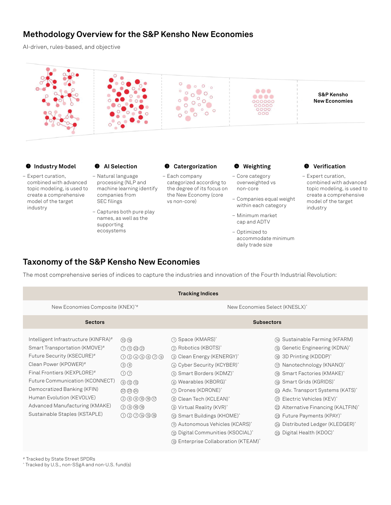#### **Methodology Overview for the S&P Kensho New Economies**

AI-driven, rules-based, and objective



accommodate minimum

daily trade size

## **Taxonomy of the S&P Kensho New Economies**

The most comprehensive series of indices to capture the industries and innovation of the Fourth Industrial Revolution:

| <b>Tracking Indices</b>                                                                                                                                                                                                                                                                                                       |                                                                                                                                               |                                                                                                                                                                                                                                                                                                                                                                                                                                                                                                                                                |                                                                                                                                                                                                                                                                                                                                                                                                                                                                            |  |  |  |  |  |  |
|-------------------------------------------------------------------------------------------------------------------------------------------------------------------------------------------------------------------------------------------------------------------------------------------------------------------------------|-----------------------------------------------------------------------------------------------------------------------------------------------|------------------------------------------------------------------------------------------------------------------------------------------------------------------------------------------------------------------------------------------------------------------------------------------------------------------------------------------------------------------------------------------------------------------------------------------------------------------------------------------------------------------------------------------------|----------------------------------------------------------------------------------------------------------------------------------------------------------------------------------------------------------------------------------------------------------------------------------------------------------------------------------------------------------------------------------------------------------------------------------------------------------------------------|--|--|--|--|--|--|
| New Economies Composite (KNEX) <sup>*#</sup>                                                                                                                                                                                                                                                                                  |                                                                                                                                               | New Economies Select (KNESLX) <sup>^</sup>                                                                                                                                                                                                                                                                                                                                                                                                                                                                                                     |                                                                                                                                                                                                                                                                                                                                                                                                                                                                            |  |  |  |  |  |  |
| <b>Sectors</b>                                                                                                                                                                                                                                                                                                                |                                                                                                                                               | <b>Subsectors</b>                                                                                                                                                                                                                                                                                                                                                                                                                                                                                                                              |                                                                                                                                                                                                                                                                                                                                                                                                                                                                            |  |  |  |  |  |  |
| Intelligent Infrastructure (KINFRA)#<br>Smart Transportation (KMOVE)#<br>Future Security (KSECURE)#<br>Clean Power (KPOWER)#<br>Final Frontiers (KEXPLORE)#<br>Future Communication (KCONNECT)<br>Democratized Banking (KFIN)<br>Human Evolution (KEVOLVE)<br>Advanced Manufacturing (KMAKE)<br>Sustainable Staples (KSTAPLE) | $\circledR$<br>のののの<br>0000000<br>③ ⑧<br>$\odot$<br>$\circledcirc \circledcirc$<br>234<br><b>000000</b><br>$Q \oplus \oplus \oplus$<br>000000 | ∩ Space (KMARS) <sup>^</sup><br>2 Robotics (KBOTS) <sup>^</sup><br>3 Clean Energy (KENERGY) <sup>^</sup><br>4 Cyber Security (KCYBER) <sup>*</sup><br>(6) Smart Borders (KDMZ) <sup>^</sup><br>6 Wearables (KBORG) <sup>^</sup><br>(?) Drones (KDRONE) <sup>^</sup><br>8 Clean Tech (KCLEAN) <sup>*</sup><br><b>Wirtual Reality (KVR)</b><br><b><i>(iii)</i></b> Smart Buildings (KHOME) <sup>^</sup><br>(11) Autonomous Vehicles (KCARS) <sup>^</sup><br>72 Digital Communities (KSOCIAL)<br>(® Enterprise Collaboration (KTEAM) <sup>^</sup> | 4 Sustainable Farming (KFARM)<br>(® Genetic Engineering (KDNA)^<br>⑯ 3D Printing (KDDDP)^<br>(17) Nanotechnology (KNANO) <sup>^</sup><br>(® Smart Factories (KMAKE)^<br>(19) Smart Grids (KGRIDS) <sup>^</sup><br>@ Adv. Transport Systems (KATS)^<br>2 Electric Vehicles (KEV) <sup>*</sup><br>Alternative Financing (KALTFIN) <sup>^</sup><br>(22)<br>23 Future Payments (KPAY) <sup>^</sup><br>49 Distributed Ledger (KLEDGER)<br>29 Digital Health (KDOC) <sup>^</sup> |  |  |  |  |  |  |

# Tracked by State Street SPDRs

^ Tracked by U.S., non-SSgA and non-U.S. fund(s)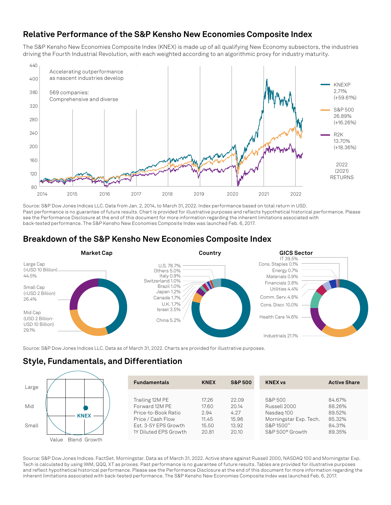#### **Relative Performance of the S&P Kensho New Economies Composite Index**

The S&P Kensho New Economies Composite Index (KNEX) is made up of all qualifying New Economy subsectors, the industries driving the Fourth Industrial Revolution, with each weighted according to an algorithmic proxy for industry maturity.



Source: S&P Dow Jones Indices LLC. Data from Jan. 2, 2014, to March 31, 2022. Index performance based on total return in USD. Past performance is no guarantee of future results. Chart is provided for illustrative purposes and reflects hypothetical historical performance. Please see the Performance Disclosure at the end of this document for more information regarding the inherent limitations associated with back-tested performance. The S&P Kensho New Economies Composite Index was launched Feb. 6, 2017.

#### **Breakdown of the S&P Kensho New Economies Composite Index**



Source: S&P Dow Jones Indices LLC. Data as of March 31, 2022. Charts are provided for illustrative purposes.

## **Style, Fundamentals, and Differentiation**

| Large |                       | <b>Fundamentals</b>                                              | <b>KNEX</b>            | <b>S&amp;P 500</b>     | <b>KNEX vs</b>                                    | <b>Active Share</b>        |
|-------|-----------------------|------------------------------------------------------------------|------------------------|------------------------|---------------------------------------------------|----------------------------|
| Mid   |                       | Trailing 12M PE<br>Forward 12M PE                                | 17.26<br>17.60         | 22.09<br>20.14         | S&P 500<br>Russell 2000                           | 84.67%<br>88.26%           |
| Small | <b>KNEX</b>           | Price-to-Book Ratio<br>Price / Cash Flow<br>Est. 3-5Y EPS Growth | 2.94<br>11.45<br>15.50 | 4.27<br>15.96<br>13.92 | Nasdag 100<br>Morningstar Exp. Tech.<br>S&P 1500™ | 89.52%<br>85.32%<br>84.31% |
|       | Blend Growth<br>Value | 1Y Diluted EPS Growth                                            | 20.81                  | 20.10                  | S&P 500 <sup>®</sup> Growth                       | 89.35%                     |

Source: S&P Dow Jones Indices. FactSet. Morningstar. Data as of March 31, 2022. Active share against Russell 2000, NASDAQ 100 and Morningstar Exp. Tech is calculated by using IWM, QQQ, XT as proxies. Past performance is no guarantee of future results. Tables are provided for illustrative purposes and reflect hypothetical historical performance. Please see the Performance Disclosure at the end of this document for more information regarding the inherent limitations associated with back-tested performance. The S&P Kensho New Economies Composite Index was launched Feb. 6, 2017.